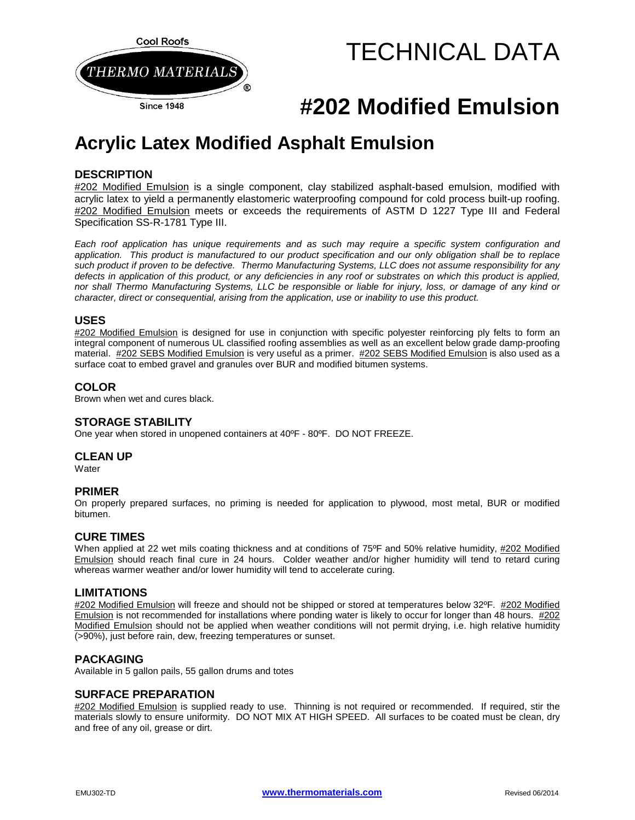

# TECHNICAL DATA

## **#202 Modified Emulsion**

### **Acrylic Latex Modified Asphalt Emulsion**

#### **DESCRIPTION**

#202 Modified Emulsion is a single component, clay stabilized asphalt-based emulsion, modified with acrylic latex to yield a permanently elastomeric waterproofing compound for cold process built-up roofing. #202 Modified Emulsion meets or exceeds the requirements of ASTM D 1227 Type III and Federal Specification SS-R-1781 Type III.

*Each roof application has unique requirements and as such may require a specific system configuration and application. This product is manufactured to our product specification and our only obligation shall be to replace such product if proven to be defective. Thermo Manufacturing Systems, LLC does not assume responsibility for any defects in application of this product, or any deficiencies in any roof or substrates on which this product is applied, nor shall Thermo Manufacturing Systems, LLC be responsible or liable for injury, loss, or damage of any kind or character, direct or consequential, arising from the application, use or inability to use this product.*

#### **USES**

#202 Modified Emulsion is designed for use in conjunction with specific polyester reinforcing ply felts to form an integral component of numerous UL classified roofing assemblies as well as an excellent below grade damp-proofing material. #202 SEBS Modified Emulsion is very useful as a primer. #202 SEBS Modified Emulsion is also used as a surface coat to embed gravel and granules over BUR and modified bitumen systems.

#### **COLOR**

Brown when wet and cures black.

#### **STORAGE STABILITY**

One year when stored in unopened containers at 40ºF - 80ºF. DO NOT FREEZE.

#### **CLEAN UP**

**Water** 

#### **PRIMER**

On properly prepared surfaces, no priming is needed for application to plywood, most metal, BUR or modified bitumen.

#### **CURE TIMES**

When applied at 22 wet mils coating thickness and at conditions of 75°F and 50% relative humidity, #202 Modified Emulsion should reach final cure in 24 hours. Colder weather and/or higher humidity will tend to retard curing whereas warmer weather and/or lower humidity will tend to accelerate curing.

#### **LIMITATIONS**

#202 Modified Emulsion will freeze and should not be shipped or stored at temperatures below 32ºF. #202 Modified Emulsion is not recommended for installations where ponding water is likely to occur for longer than 48 hours. #202 Modified Emulsion should not be applied when weather conditions will not permit drying, i.e. high relative humidity (>90%), just before rain, dew, freezing temperatures or sunset.

#### **PACKAGING**

Available in 5 gallon pails, 55 gallon drums and totes

#### **SURFACE PREPARATION**

#202 Modified Emulsion is supplied ready to use. Thinning is not required or recommended. If required, stir the materials slowly to ensure uniformity. DO NOT MIX AT HIGH SPEED. All surfaces to be coated must be clean, dry and free of any oil, grease or dirt.